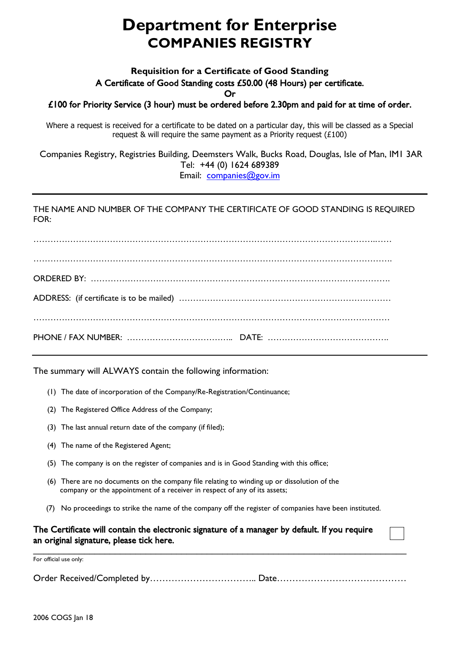## **Department for Enterprise COMPANIES REGISTRY**

## **Requisition for a Certificate of Good Standing** A Certificate of Good Standing costs £50.00 (48 Hours) per certificate.

Or

£100 for Priority Service (3 hour) must be ordered before 2.30pm and paid for at time of order.

Where a request is received for a certificate to be dated on a particular day, this will be classed as a Special request & will require the same payment as a Priority request  $(£100)$ 

Companies Registry, Registries Building, Deemsters Walk, Bucks Road, Douglas, Isle of Man, IM1 3AR Tel: +44 (0) 1624 689389 Email: [companies@gov.im](mailto:companies@gov.im)

## THE NAME AND NUMBER OF THE COMPANY THE CERTIFICATE OF GOOD STANDING IS REQUIRED  $FOR$

………………………………………………………………………………………………………….…… ………………………………………………………………………………………………………………. ORDERED BY: ……………………………………………………………………………………………. ADDRESS: (if certificate is to be mailed) ………………………………………………………………… ……………………………………………………………………………………………………………… PHONE / FAX NUMBER: ……………………………….. DATE: …………………………………….

The summary will ALWAYS contain the following information:

- (1) The date of incorporation of the Company/Re-Registration/Continuance;
- (2) The Registered Office Address of the Company;
- (3) The last annual return date of the company (if filed);
- (4) The name of the Registered Agent;
- (5) The company is on the register of companies and is in Good Standing with this office;
- (6) There are no documents on the company file relating to winding up or dissolution of the company or the appointment of a receiver in respect of any of its assets;
- (7) No proceedings to strike the name of the company off the register of companies have been instituted.

## The Certificate will contain the electronic signature of a manager by default. If you require an original signature, please tick here.

For official use only:

Order Received/Completed by…………………………….. Date……………………………………

 $\mathcal{L} = \{ \mathcal{L} = \{ \mathcal{L} = \{ \mathcal{L} = \{ \mathcal{L} = \{ \mathcal{L} = \{ \mathcal{L} = \{ \mathcal{L} = \{ \mathcal{L} = \{ \mathcal{L} = \{ \mathcal{L} = \{ \mathcal{L} = \{ \mathcal{L} = \{ \mathcal{L} = \{ \mathcal{L} = \{ \mathcal{L} = \{ \mathcal{L} = \{ \mathcal{L} = \{ \mathcal{L} = \{ \mathcal{L} = \{ \mathcal{L} = \{ \mathcal{L} = \{ \mathcal{L} = \{ \mathcal{L} = \{ \mathcal{$